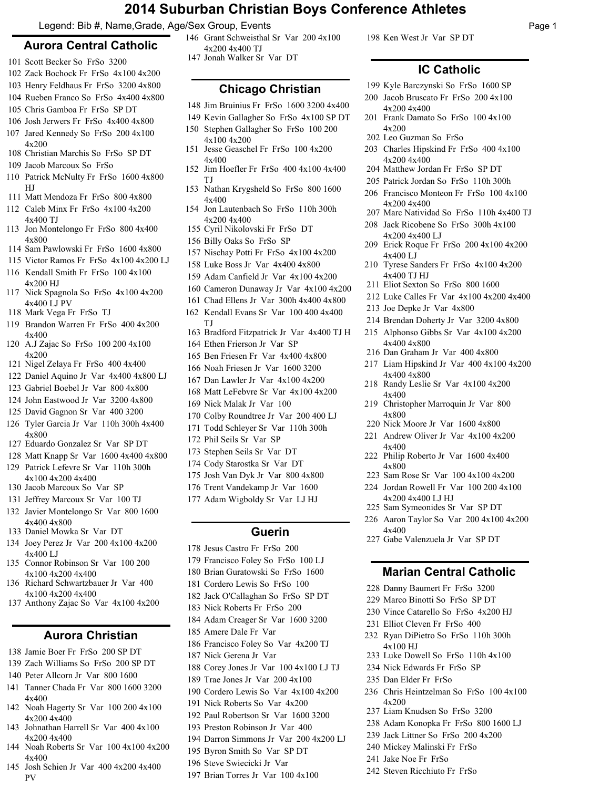## **2014 Suburban Christian Boys Conference Athletes**

Page 1

198 Ken West Jr Var SP DT

4x200 4x400

4x200 4x400

4x200 4x400

4x200 4x400 LJ

4x400 LJ

4x400 TJ HJ

4x400 4x800

4x400 4x800

4x400

4x800

4x400

4x800

4x400

202 Leo Guzman So FrSo

4x200

**IC Catholic** 199 Kyle Barczynski So FrSo 1600 SP 200 Jacob Bruscato Fr FrSo 200 4x100

Frank Damato So FrSo 100 4x100 201

Charles Hipskind Fr FrSo 400 4x100 203

207 Marc Natividad So FrSo 110h 4x400 TJ 208 Jack Ricobene So FrSo 300h 4x100

Erick Roque Fr FrSo 200 4x100 4x200 209

210 Tyrese Sanders Fr FrSo 4x100 4x200

212 Luke Calles Fr Var 4x100 4x200 4x400

Liam Hipskind Jr Var 400 4x100 4x200 217

214 Brendan Doherty Jr Var 3200 4x800 Alphonso Gibbs Sr Var 4x100 4x200 215

211 Eliot Sexton So FrSo 800 1600

216 Dan Graham Jr Var 400 4x800

218 Randy Leslie Sr Var 4x100 4x200

Christopher Marroquin Jr Var 800 219

222 Philip Roberto Jr Var 1600 4x400

223 Sam Rose Sr Var 100 4x100 4x200 224 Jordan Rowell Fr Var 100 200 4x100

227 Gabe Valenzuela Jr Var SP DT

228 Danny Baumert Fr FrSo 3200 229 Marco Binotti So FrSo SP DT 230 Vince Catarello So FrSo 4x200 HJ

231 Elliot Cleven Fr FrSo 400

4x100 HJ

4x200

232 Ryan DiPietro So FrSo 110h 300h

233 Luke Dowell So FrSo 110h 4x100 234 Nick Edwards Fr FrSo SP 235 Dan Elder Fr FrSo

 Liam Knudsen So FrSo 3200 Adam Konopka Fr FrSo 800 1600 LJ Jack Littner So FrSo 200 4x200 Mickey Malinski Fr FrSo Jake Noe Fr FrSo Steven Ricchiuto Fr FrSo

Chris Heintzelman So FrSo 100 4x100 236

**Marian Central Catholic**

4x200 4x400 LJ HJ 225 Sam Symeonides Sr Var SP DT Aaron Taylor So Var 200 4x100 4x200 226

220 Nick Moore Jr Var 1600 4x800 221 Andrew Oliver Jr Var 4x100 4x200

213 Joe Depke Jr Var 4x800

204 Matthew Jordan Fr FrSo SP DT 205 Patrick Jordan So FrSo 110h 300h Francisco Monteon Fr FrSo 100 4x100 206

Legend: Bib #, Name,Grade, Age/Sex Group, Events

## **Aurora Central Catholic**

- 101 Scott Becker So FrSo 3200
- 102 Zack Bochock Fr FrSo 4x100 4x200
- 103 Henry Feldhaus Fr FrSo 3200 4x800
- 104 Rueben Franco So FrSo 4x400 4x800
- 105 Chris Gamboa Fr FrSo SP DT
- 106 Josh Jerwers Fr FrSo 4x400 4x800
- 107 Jared Kennedy So FrSo 200 4x100 4x200
- 108 Christian Marchis So FrSo SP DT
- 109 Jacob Marcoux So FrSo
- 110 Patrick McNulty Fr FrSo 1600 4x800 HJ
- 111 Matt Mendoza Fr FrSo 800 4x800
- Caleb Minx Fr FrSo 4x100 4x200 112 4x400 TJ
- 113 Jon Montelongo Fr FrSo 800 4x400 4x800
- 114 Sam Pawlowski Fr FrSo 1600 4x800
- 115 Victor Ramos Fr FrSo 4x100 4x200 LJ 116 Kendall Smith Fr FrSo 100 4x100 4x200 HJ
- 117 Nick Spagnola So FrSo 4x100 4x200 4x400 LJ PV
- 118 Mark Vega Fr FrSo TJ
- Brandon Warren Fr FrSo 400 4x200 119 4x400
- A.J Zajac So FrSo 100 200 4x100 120 4x200
- 121 Nigel Zelaya Fr FrSo 400 4x400
- 122 Daniel Aquino Jr Var 4x400 4x800 LJ
- 123 Gabriel Boebel Jr Var 800 4x800
- 124 John Eastwood Jr Var 3200 4x800
- 125 David Gagnon Sr Var 400 3200
- Tyler Garcia Jr Var 110h 300h 4x400 126 4x800
- 127 Eduardo Gonzalez Sr Var SP DT
- 128 Matt Knapp Sr Var 1600 4x400 4x800
- 129 Patrick Lefevre Sr Var 110h 300h 4x100 4x200 4x400
- 130 Jacob Marcoux So Var SP
- 131 Jeffrey Marcoux Sr Var 100 TJ
- 132 Javier Montelongo Sr Var 800 1600 4x400 4x800
- 133 Daniel Mowka Sr Var DT
- 134 Joey Perez Jr Var 200 4x100 4x200 4x400 LJ
- Connor Robinson Sr Var 100 200 135 4x100 4x200 4x400
- 136 Richard Schwartzbauer Jr Var 400 4x100 4x200 4x400
- 137 Anthony Zajac So Var 4x100 4x200

## **Aurora Christian**

- 138 Jamie Boer Fr FrSo 200 SP DT
- 139 Zach Williams So FrSo 200 SP DT
- 140 Peter Allcorn Jr Var 800 1600
- Tanner Chada Fr Var 800 1600 3200 141 4x400
- 142 Noah Hagerty Sr Var 100 200 4x100 4x200 4x400
- 143 Johnathan Harrell Sr Var 400 4x100 4x200 4x400
- 144 Noah Roberts Sr Var 100 4x100 4x200 4x400
- 145 Josh Schien Jr Var 400 4x200 4x400 PV

Grant Schweisthal Sr Var 200 4x100 146 4x200 4x400 TJ 147 Jonah Walker Sr Var DT

## **Chicago Christian**

- 148 Jim Bruinius Fr FrSo 1600 3200 4x400
- 149 Kevin Gallagher So FrSo 4x100 SP DT
- 150 Stephen Gallagher So FrSo 100 200
- 4x100 4x200 151 Jesse Geaschel Fr FrSo 100 4x200 4x400
- 152 Jim Hoefler Fr FrSo 400 4x100 4x400 TJ
- 153 Nathan Krygsheld So FrSo 800 1600 4x400
- 154 Jon Lautenbach So FrSo 110h 300h 4x200 4x400
- 155 Cyril Nikolovski Fr FrSo DT
- 156 Billy Oaks So FrSo SP
- 157 Nischay Potti Fr FrSo 4x100 4x200
- 158 Luke Boss Jr Var 4x400 4x800
- 159 Adam Canfield Jr Var 4x100 4x200
- 160 Cameron Dunaway Jr Var 4x100 4x200
- 161 Chad Ellens Jr Var 300h 4x400 4x800
- 162 Kendall Evans Sr Var 100 400 4x400 TJ
- 163 Bradford Fitzpatrick Jr Var 4x400 TJ H
- 164 Ethen Frierson Jr Var SP
- 165 Ben Friesen Fr Var 4x400 4x800
- 166 Noah Friesen Jr Var 1600 3200
- 167 Dan Lawler Jr Var 4x100 4x200
- 168 Matt LeFebvre Sr Var 4x100 4x200
- 169 Nick Malak Jr Var 100
	- 170 Colby Roundtree Jr Var 200 400 LJ
	- 171 Todd Schleyer Sr Var 110h 300h
- 172 Phil Seils Sr Var SP
- 173 Stephen Seils Sr Var DT
- 174 Cody Starostka Sr Var DT
- 175 Josh Van Dyk Jr Var 800 4x800
- 176 Trent Vandekamp Jr Var 1600
- 177 Adam Wigboldy Sr Var LJ HJ

#### **Guerin**

- 178 Jesus Castro Fr FrSo 200
- 179 Francisco Foley So FrSo 100 LJ
- 180 Brian Guratowski So FrSo 1600
- 181 Cordero Lewis So FrSo 100
- 182 Jack O'Callaghan So FrSo SP DT
- 183 Nick Roberts Fr FrSo 200
- 184 Adam Creager Sr Var 1600 3200
- 185 Amere Dale Fr Var
- 186 Francisco Foley So Var 4x200 TJ
- 187 Nick Gerena Jr Var
- 188 Corey Jones Jr Var 100 4x100 LJ TJ
- 189 Trae Jones Jr Var 200 4x100
- 190 Cordero Lewis So Var 4x100 4x200
- 191 Nick Roberts So Var 4x200
- 192 Paul Robertson Sr Var 1600 3200
- 193 Preston Robinson Jr Var 400
- 194 Darron Simmons Jr Var 200 4x200 LJ
- 195 Byron Smith So Var SP DT

197 Brian Torres Jr Var 100 4x100

196 Steve Swiecicki Jr Var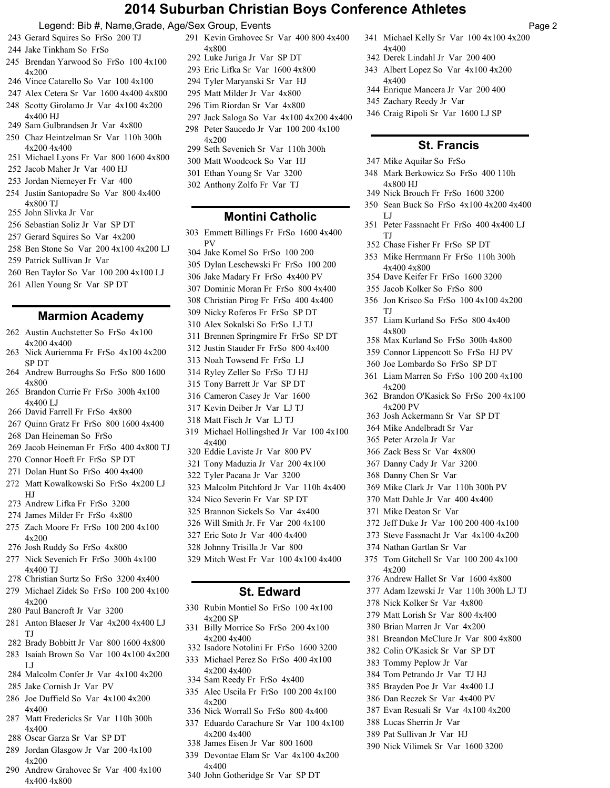# **2014 Suburban Christian Boys Conference Athletes**

Page 2

Michael Kelly Sr Var 100 4x100 4x200

 Derek Lindahl Jr Var 200 400 Albert Lopez So Var 4x100 4x200

Enrique Mancera Jr Var 200 400

Craig Ripoli Sr Var 1600 LJ SP

**St. Francis**

Mark Berkowicz So FrSo 400 110h

Peter Fassnacht Fr FrSo 400 4x400 LJ

 Nick Brouch Fr FrSo 1600 3200 Sean Buck So FrSo 4x100 4x200 4x400

 Chase Fisher Fr FrSo SP DT Mike Herrmann Fr FrSo 110h 300h

 Dave Keifer Fr FrSo 1600 3200 Jacob Kolker So FrSo 800

356 Jon Krisco So FrSo 100 4x100 4x200

Liam Kurland So FrSo 800 4x400

 Max Kurland So FrSo 300h 4x800 Connor Lippencott So FrSo HJ PV Joe Lombardo So FrSo SP DT 361 Liam Marren So FrSo 100 200 4x100

Brandon O'Kasick So FrSo 200 4x100

 Josh Ackermann Sr Var SP DT Mike Andelbradt Sr Var Peter Arzola Jr Var Zack Bess Sr Var 4x800 Danny Cady Jr Var 3200 Danny Chen Sr Var

 Mike Clark Jr Var 110h 300h PV Matt Dahle Jr Var 400 4x400

 Jeff Duke Jr Var 100 200 400 4x100 Steve Fassnacht Jr Var 4x100 4x200

375 Tom Gitchell Sr Var 100 200 4x100

 Andrew Hallet Sr Var 1600 4x800 Adam Izewski Jr Var 110h 300h LJ TJ

 Breandon McClure Jr Var 800 4x800 Colin O'Kasick Sr Var SP DT Tommy Peplow Jr Var Tom Petrando Jr Var TJ HJ Brayden Poe Jr Var 4x400 LJ Dan Reczek Sr Var 4x400 PV Evan Resuali Sr Var 4x100 4x200

 Nick Kolker Sr Var 4x800 Matt Lorish Sr Var 800 4x400 Brian Marren Jr Var 4x200

 Lucas Sherrin Jr Var Pat Sullivan Jr Var HJ

Nick Vilimek Sr Var 1600 3200

Mike Deaton Sr Var

Nathan Gartlan Sr Var

4x200

Zachary Reedy Jr Var

Mike Aquilar So FrSo

4x800 HJ

4x400 4x800

LJ

TJ

**TI** 

4x800

4x200

4x200 PV

4x400

4x400

#### Legend: Bib #, Name,Grade, Age/Sex Group, Events

- Gerard Squires So FrSo 200 TJ
- Jake Tinkham So FrSo
- Brendan Yarwood So FrSo 100 4x100 4x200
- Vince Catarello So Var 100 4x100
- Alex Cetera Sr Var 1600 4x400 4x800
- 248 Scotty Girolamo Jr Var 4x100 4x200 4x400 HJ
- Sam Gulbrandsen Jr Var 4x800
- Chaz Heintzelman Sr Var 110h 300h 4x200 4x400
- Michael Lyons Fr Var 800 1600 4x800
- Jacob Maher Jr Var 400 HJ
- Jordan Niemeyer Fr Var 400
- 254 Justin Santopadre So Var 800 4x400 4x800 TJ
- John Slivka Jr Var
- Sebastian Soliz Jr Var SP DT
- Gerard Squires So Var 4x200
- Ben Stone So Var 200 4x100 4x200 LJ
- Patrick Sullivan Jr Var
- Ben Taylor So Var 100 200 4x100 LJ
- Allen Young Sr Var SP DT

#### **Marmion Academy**

- 262 Austin Auchstetter So FrSo 4x100 4x200 4x400
- 263 Nick Auriemma Fr FrSo 4x100 4x200 SP DT
- Andrew Burroughs So FrSo 800 1600 4x800
- Brandon Currie Fr FrSo 300h 4x100  $4x400$  LJ
- David Farrell Fr FrSo 4x800
- Quinn Gratz Fr FrSo 800 1600 4x400
- Dan Heineman So FrSo
- Jacob Heineman Fr FrSo 400 4x800 TJ
- Connor Hoeft Fr FrSo SP DT
- Dolan Hunt So FrSo 400 4x400
- Matt Kowalkowski So FrSo 4x200 LJ HJ
- Andrew Lifka Fr FrSo 3200
- James Milder Fr FrSo 4x800
- 275 Zach Moore Fr FrSo 100 200 4x100 4x200
- Josh Ruddy So FrSo 4x800
- 277 Nick Sevenich Fr FrSo 300h 4x100 4x400 TJ
- Christian Surtz So FrSo 3200 4x400
- 279 Michael Zidek So FrSo 100 200 4x100 4x200
- Paul Bancroft Jr Var 3200
- Anton Blaeser Jr Var 4x200 4x400 LJ TJ
- Brady Bobbitt Jr Var 800 1600 4x800
- 283 Isaiah Brown So Var 100 4x100 4x200 LJ
- Malcolm Confer Jr Var 4x100 4x200
- Jake Cornish Jr Var PV
- 286 Joe Duffield So Var 4x100 4x200 4x400
- Matt Fredericks Sr Var 110h 300h 4x400
- Oscar Garza Sr Var SP DT
- 289 Jordan Glasgow Jr Var 200 4x100 4x200
- Andrew Grahovec Sr Var 400 4x100 4x400 4x800
- 291 Kevin Grahovec Sr Var 400 800 4x400 4x800
- Luke Juriga Jr Var SP DT
- Eric Lifka Sr Var 1600 4x800
- Tyler Maryanski Sr Var HJ
- Matt Milder Jr Var 4x800
- Tim Riordan Sr Var 4x800
- Jack Saloga So Var 4x100 4x200 4x400
- 298 Peter Saucedo Jr Var 100 200 4x100 4x200
- Seth Sevenich Sr Var 110h 300h
- Matt Woodcock So Var HJ
- Ethan Young Sr Var 3200
- Anthony Zolfo Fr Var TJ
- 

#### **Montini Catholic**

- Emmett Billings Fr FrSo 1600 4x400
- PV Jake Komel So FrSo 100 200
- Dylan Leschewski Fr FrSo 100 200
- Jake Madary Fr FrSo 4x400 PV
- Dominic Moran Fr FrSo 800 4x400
- Christian Pirog Fr FrSo 400 4x400
- Nicky Roferos Fr FrSo SP DT
- Alex Sokalski So FrSo LJ TJ
- Brennen Springmire Fr FrSo SP DT
- Justin Stauder Fr FrSo 800 4x400
- Noah Towsend Fr FrSo LJ
- Ryley Zeller So FrSo TJ HJ
- Tony Barrett Jr Var SP DT
- Cameron Casey Jr Var 1600
- Kevin Deiber Jr Var LJ TJ
- Matt Fisch Jr Var LJ TJ
- 319 Michael Hollingshed Jr Var 100 4x100 4x400
- Eddie Laviste Jr Var 800 PV
- Tony Maduzia Jr Var 200 4x100
- Tyler Pacana Jr Var 3200
- Malcolm Pitchford Jr Var 110h 4x400
- Nico Severin Fr Var SP DT
- Brannon Sickels So Var 4x400
- Will Smith Jr. Fr Var 200 4x100
- Eric Soto Jr Var 400 4x400
- Johnny Trisilla Jr Var 800
- Mitch West Fr Var 100 4x100 4x400

#### **St. Edward**

- 330 Rubin Montiel So FrSo 100 4x100 4x200 SP
- 331 Billy Morrice So FrSo 200 4x100 4x200 4x400
- Isadore Notolini Fr FrSo 1600 3200
- Michael Perez So FrSo 400 4x100 4x200 4x400
- Sam Reedy Fr FrSo 4x400

4x200 4x400

4x400

- Alec Uscila Fr FrSo 100 200 4x100 4x200
- Nick Worrall So FrSo 800 4x400

 James Eisen Jr Var 800 1600 Devontae Elam Sr Var 4x100 4x200

John Gotheridge Sr Var SP DT

Eduardo Carachure Sr Var 100 4x100